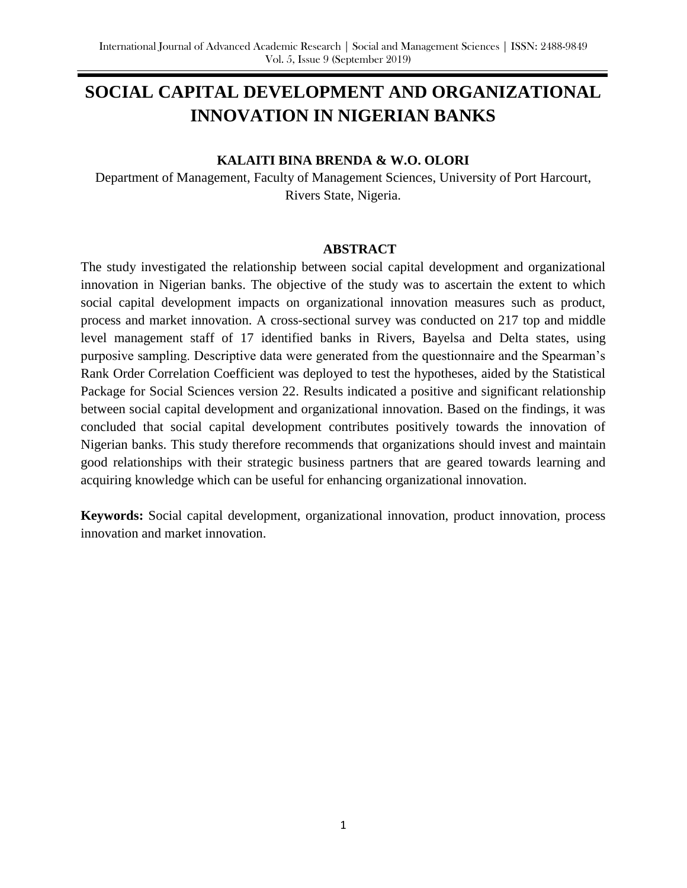# **SOCIAL CAPITAL DEVELOPMENT AND ORGANIZATIONAL INNOVATION IN NIGERIAN BANKS**

#### **KALAITI BINA BRENDA & W.O. OLORI**

Department of Management, Faculty of Management Sciences, University of Port Harcourt, Rivers State, Nigeria.

#### **ABSTRACT**

The study investigated the relationship between social capital development and organizational innovation in Nigerian banks. The objective of the study was to ascertain the extent to which social capital development impacts on organizational innovation measures such as product, process and market innovation. A cross-sectional survey was conducted on 217 top and middle level management staff of 17 identified banks in Rivers, Bayelsa and Delta states, using purposive sampling. Descriptive data were generated from the questionnaire and the Spearman's Rank Order Correlation Coefficient was deployed to test the hypotheses, aided by the Statistical Package for Social Sciences version 22. Results indicated a positive and significant relationship between social capital development and organizational innovation. Based on the findings, it was concluded that social capital development contributes positively towards the innovation of Nigerian banks. This study therefore recommends that organizations should invest and maintain good relationships with their strategic business partners that are geared towards learning and acquiring knowledge which can be useful for enhancing organizational innovation.

**Keywords:** Social capital development, organizational innovation, product innovation, process innovation and market innovation.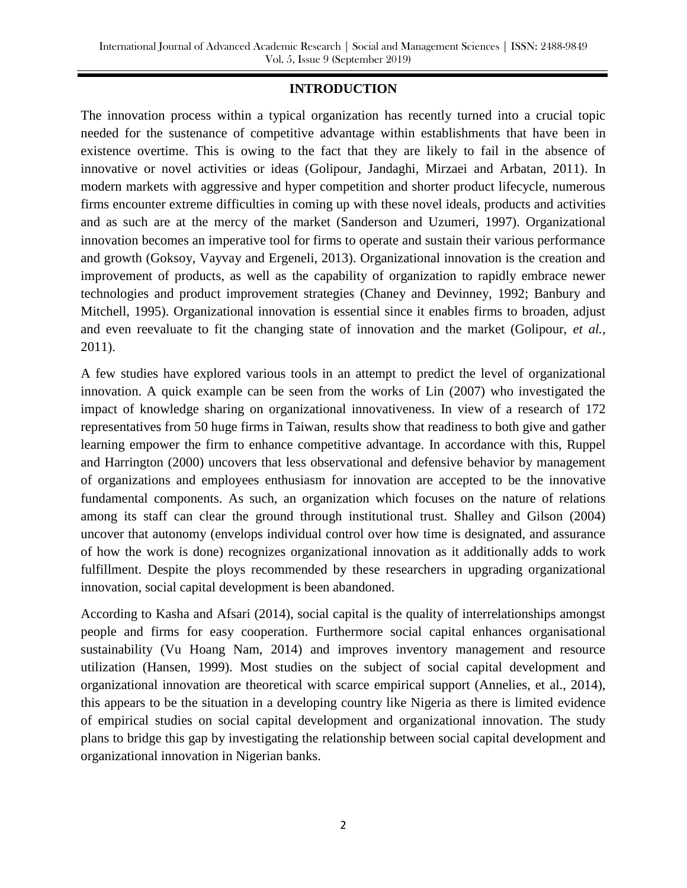## **INTRODUCTION**

The innovation process within a typical organization has recently turned into a crucial topic needed for the sustenance of competitive advantage within establishments that have been in existence overtime. This is owing to the fact that they are likely to fail in the absence of innovative or novel activities or ideas (Golipour, Jandaghi, Mirzaei and Arbatan, 2011). In modern markets with aggressive and hyper competition and shorter product lifecycle, numerous firms encounter extreme difficulties in coming up with these novel ideals, products and activities and as such are at the mercy of the market (Sanderson and Uzumeri, 1997). Organizational innovation becomes an imperative tool for firms to operate and sustain their various performance and growth (Goksoy, Vayvay and Ergeneli, 2013). Organizational innovation is the creation and improvement of products, as well as the capability of organization to rapidly embrace newer technologies and product improvement strategies (Chaney and Devinney, 1992; Banbury and Mitchell, 1995). Organizational innovation is essential since it enables firms to broaden, adjust and even reevaluate to fit the changing state of innovation and the market (Golipour, *et al.,* 2011).

A few studies have explored various tools in an attempt to predict the level of organizational innovation. A quick example can be seen from the works of Lin (2007) who investigated the impact of knowledge sharing on organizational innovativeness. In view of a research of 172 representatives from 50 huge firms in Taiwan, results show that readiness to both give and gather learning empower the firm to enhance competitive advantage. In accordance with this, Ruppel and Harrington (2000) uncovers that less observational and defensive behavior by management of organizations and employees enthusiasm for innovation are accepted to be the innovative fundamental components. As such, an organization which focuses on the nature of relations among its staff can clear the ground through institutional trust. Shalley and Gilson (2004) uncover that autonomy (envelops individual control over how time is designated, and assurance of how the work is done) recognizes organizational innovation as it additionally adds to work fulfillment. Despite the ploys recommended by these researchers in upgrading organizational innovation, social capital development is been abandoned.

According to Kasha and Afsari (2014), social capital is the quality of interrelationships amongst people and firms for easy cooperation. Furthermore social capital enhances organisational sustainability (Vu Hoang Nam, 2014) and improves inventory management and resource utilization (Hansen, 1999). Most studies on the subject of social capital development and organizational innovation are theoretical with scarce empirical support (Annelies, et al., 2014), this appears to be the situation in a developing country like Nigeria as there is limited evidence of empirical studies on social capital development and organizational innovation. The study plans to bridge this gap by investigating the relationship between social capital development and organizational innovation in Nigerian banks.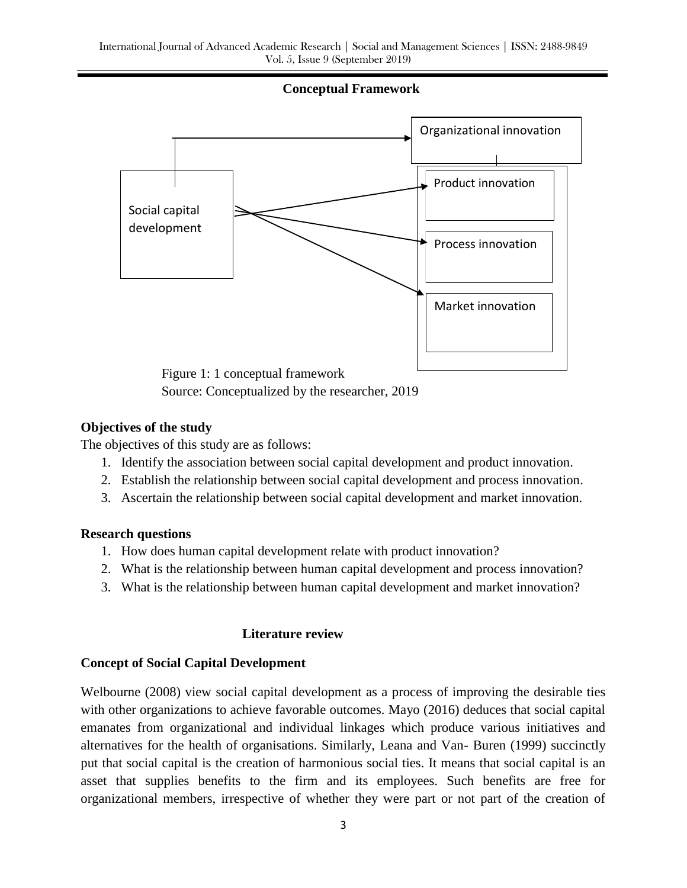#### **Conceptual Framework**



Source: Conceptualized by the researcher, 2019

#### **Objectives of the study**

The objectives of this study are as follows:

- 1. Identify the association between social capital development and product innovation.
- 2. Establish the relationship between social capital development and process innovation.
- 3. Ascertain the relationship between social capital development and market innovation.

#### **Research questions**

- 1. How does human capital development relate with product innovation?
- 2. What is the relationship between human capital development and process innovation?
- 3. What is the relationship between human capital development and market innovation?

#### **Literature review**

#### **Concept of Social Capital Development**

Welbourne (2008) view social capital development as a process of improving the desirable ties with other organizations to achieve favorable outcomes. Mayo (2016) deduces that social capital emanates from organizational and individual linkages which produce various initiatives and alternatives for the health of organisations. Similarly, Leana and Van- Buren (1999) succinctly put that social capital is the creation of harmonious social ties. It means that social capital is an asset that supplies benefits to the firm and its employees. Such benefits are free for organizational members, irrespective of whether they were part or not part of the creation of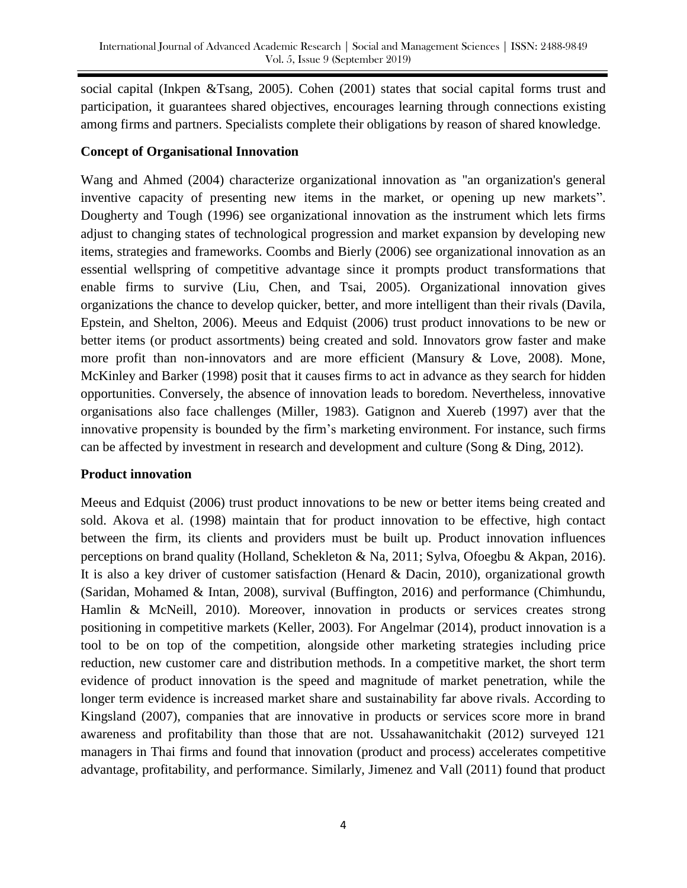social capital (Inkpen &Tsang, 2005). Cohen (2001) states that social capital forms trust and participation, it guarantees shared objectives, encourages learning through connections existing among firms and partners. Specialists complete their obligations by reason of shared knowledge.

### **Concept of Organisational Innovation**

Wang and Ahmed (2004) characterize organizational innovation as "an organization's general inventive capacity of presenting new items in the market, or opening up new markets". Dougherty and Tough (1996) see organizational innovation as the instrument which lets firms adjust to changing states of technological progression and market expansion by developing new items, strategies and frameworks. Coombs and Bierly (2006) see organizational innovation as an essential wellspring of competitive advantage since it prompts product transformations that enable firms to survive (Liu, Chen, and Tsai, 2005). Organizational innovation gives organizations the chance to develop quicker, better, and more intelligent than their rivals (Davila, Epstein, and Shelton, 2006). Meeus and Edquist (2006) trust product innovations to be new or better items (or product assortments) being created and sold. Innovators grow faster and make more profit than non-innovators and are more efficient (Mansury & Love, 2008). Mone, McKinley and Barker (1998) posit that it causes firms to act in advance as they search for hidden opportunities. Conversely, the absence of innovation leads to boredom. Nevertheless, innovative organisations also face challenges (Miller, 1983). Gatignon and Xuereb (1997) aver that the innovative propensity is bounded by the firm's marketing environment. For instance, such firms can be affected by investment in research and development and culture (Song & Ding, 2012).

### **Product innovation**

Meeus and Edquist (2006) trust product innovations to be new or better items being created and sold. Akova et al. (1998) maintain that for product innovation to be effective, high contact between the firm, its clients and providers must be built up. Product innovation influences perceptions on brand quality (Holland, Schekleton & Na, 2011; Sylva, Ofoegbu & Akpan, 2016). It is also a key driver of customer satisfaction (Henard & Dacin, 2010), organizational growth (Saridan, Mohamed & Intan, 2008), survival (Buffington, 2016) and performance (Chimhundu, Hamlin & McNeill, 2010). Moreover, innovation in products or services creates strong positioning in competitive markets (Keller, 2003). For Angelmar (2014), product innovation is a tool to be on top of the competition, alongside other marketing strategies including price reduction, new customer care and distribution methods. In a competitive market, the short term evidence of product innovation is the speed and magnitude of market penetration, while the longer term evidence is increased market share and sustainability far above rivals. According to Kingsland (2007), companies that are innovative in products or services score more in brand awareness and profitability than those that are not. Ussahawanitchakit (2012) surveyed 121 managers in Thai firms and found that innovation (product and process) accelerates competitive advantage, profitability, and performance. Similarly, Jimenez and Vall (2011) found that product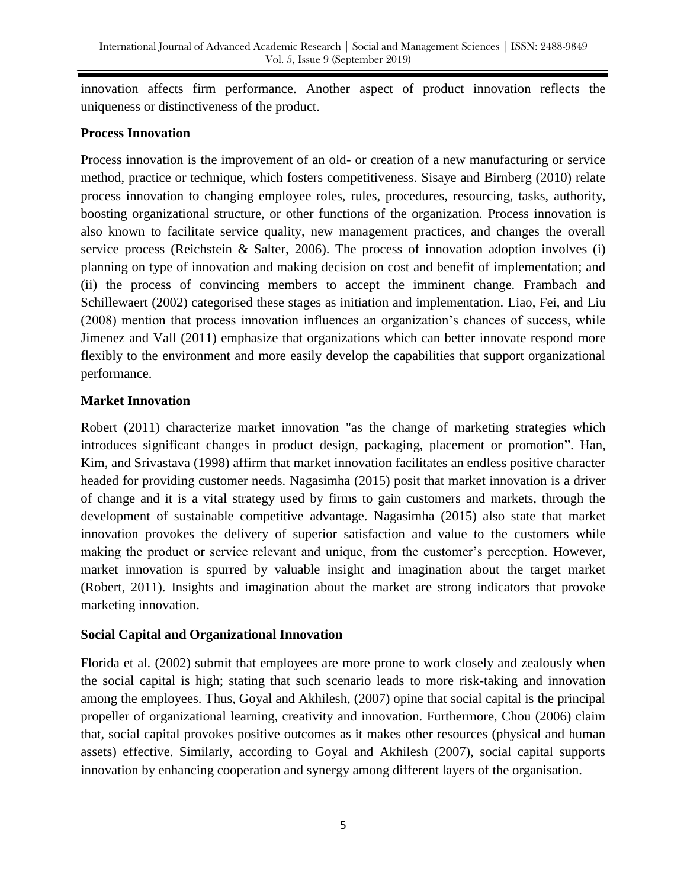innovation affects firm performance. Another aspect of product innovation reflects the uniqueness or distinctiveness of the product.

### **Process Innovation**

Process innovation is the improvement of an old- or creation of a new manufacturing or service method, practice or technique, which fosters competitiveness. Sisaye and Birnberg (2010) relate process innovation to changing employee roles, rules, procedures, resourcing, tasks, authority, boosting organizational structure, or other functions of the organization. Process innovation is also known to facilitate service quality, new management practices, and changes the overall service process (Reichstein & Salter, 2006). The process of innovation adoption involves (i) planning on type of innovation and making decision on cost and benefit of implementation; and (ii) the process of convincing members to accept the imminent change. Frambach and Schillewaert (2002) categorised these stages as initiation and implementation. Liao, Fei, and Liu (2008) mention that process innovation influences an organization's chances of success, while Jimenez and Vall (2011) emphasize that organizations which can better innovate respond more flexibly to the environment and more easily develop the capabilities that support organizational performance.

# **Market Innovation**

Robert (2011) characterize market innovation "as the change of marketing strategies which introduces significant changes in product design, packaging, placement or promotion". Han, Kim, and Srivastava (1998) affirm that market innovation facilitates an endless positive character headed for providing customer needs. Nagasimha (2015) posit that market innovation is a driver of change and it is a vital strategy used by firms to gain customers and markets, through the development of sustainable competitive advantage. Nagasimha (2015) also state that market innovation provokes the delivery of superior satisfaction and value to the customers while making the product or service relevant and unique, from the customer's perception. However, market innovation is spurred by valuable insight and imagination about the target market (Robert, 2011). Insights and imagination about the market are strong indicators that provoke marketing innovation.

# **Social Capital and Organizational Innovation**

Florida et al. (2002) submit that employees are more prone to work closely and zealously when the social capital is high; stating that such scenario leads to more risk-taking and innovation among the employees. Thus, Goyal and Akhilesh, (2007) opine that social capital is the principal propeller of organizational learning, creativity and innovation. Furthermore, Chou (2006) claim that, social capital provokes positive outcomes as it makes other resources (physical and human assets) effective. Similarly, according to Goyal and Akhilesh (2007), social capital supports innovation by enhancing cooperation and synergy among different layers of the organisation.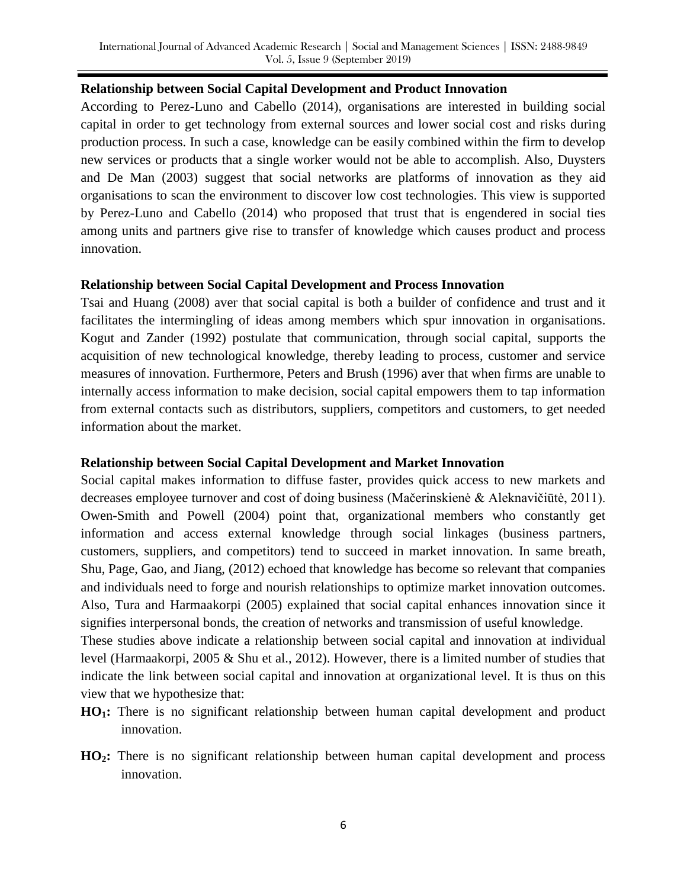#### **Relationship between Social Capital Development and Product Innovation**

According to Perez-Luno and Cabello (2014), organisations are interested in building social capital in order to get technology from external sources and lower social cost and risks during production process. In such a case, knowledge can be easily combined within the firm to develop new services or products that a single worker would not be able to accomplish. Also, Duysters and De Man (2003) suggest that social networks are platforms of innovation as they aid organisations to scan the environment to discover low cost technologies. This view is supported by Perez-Luno and Cabello (2014) who proposed that trust that is engendered in social ties among units and partners give rise to transfer of knowledge which causes product and process innovation.

#### **Relationship between Social Capital Development and Process Innovation**

Tsai and Huang (2008) aver that social capital is both a builder of confidence and trust and it facilitates the intermingling of ideas among members which spur innovation in organisations. Kogut and Zander (1992) postulate that communication, through social capital, supports the acquisition of new technological knowledge, thereby leading to process, customer and service measures of innovation. Furthermore, Peters and Brush (1996) aver that when firms are unable to internally access information to make decision, social capital empowers them to tap information from external contacts such as distributors, suppliers, competitors and customers, to get needed information about the market.

### **Relationship between Social Capital Development and Market Innovation**

Social capital makes information to diffuse faster, provides quick access to new markets and decreases employee turnover and cost of doing business (Mačerinskienė & Aleknavičiūtė, 2011). Owen-Smith and Powell (2004) point that, organizational members who constantly get information and access external knowledge through social linkages (business partners, customers, suppliers, and competitors) tend to succeed in market innovation. In same breath, Shu, Page, Gao, and Jiang, (2012) echoed that knowledge has become so relevant that companies and individuals need to forge and nourish relationships to optimize market innovation outcomes. Also, Tura and Harmaakorpi (2005) explained that social capital enhances innovation since it signifies interpersonal bonds, the creation of networks and transmission of useful knowledge.

These studies above indicate a relationship between social capital and innovation at individual level (Harmaakorpi, 2005 & Shu et al., 2012). However, there is a limited number of studies that indicate the link between social capital and innovation at organizational level. It is thus on this view that we hypothesize that:

- **HO1:** There is no significant relationship between human capital development and product innovation.
- **HO2:** There is no significant relationship between human capital development and process innovation.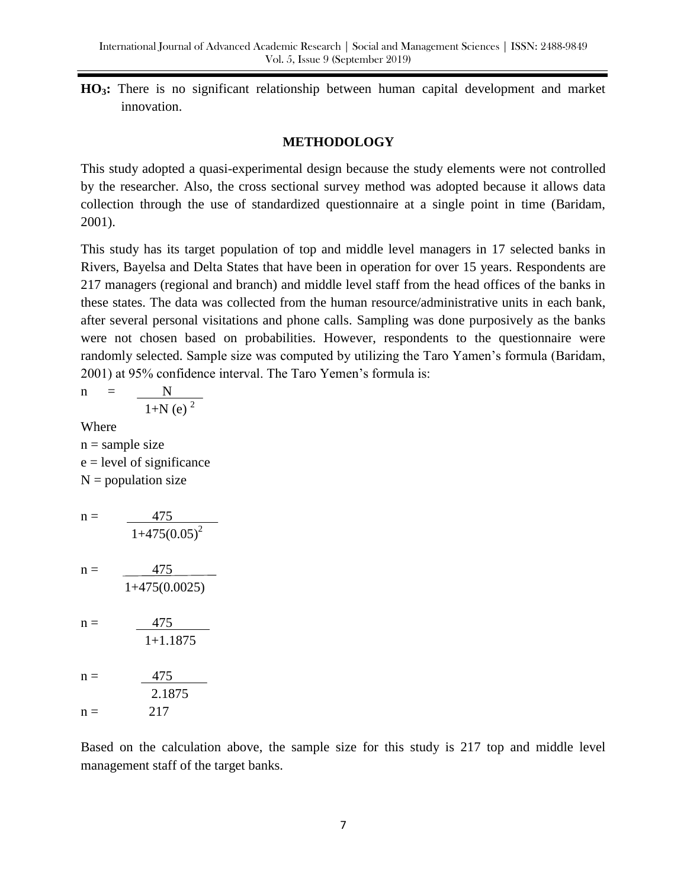**HO3:** There is no significant relationship between human capital development and market innovation.

#### **METHODOLOGY**

This study adopted a quasi-experimental design because the study elements were not controlled by the researcher. Also, the cross sectional survey method was adopted because it allows data collection through the use of standardized questionnaire at a single point in time (Baridam, 2001).

This study has its target population of top and middle level managers in 17 selected banks in Rivers, Bayelsa and Delta States that have been in operation for over 15 years. Respondents are 217 managers (regional and branch) and middle level staff from the head offices of the banks in these states. The data was collected from the human resource/administrative units in each bank, after several personal visitations and phone calls. Sampling was done purposively as the banks were not chosen based on probabilities. However, respondents to the questionnaire were randomly selected. Sample size was computed by utilizing the Taro Yamen's formula (Baridam, 2001) at 95% confidence interval. The Taro Yemen's formula is:

$$
n = \frac{N}{1+N (e)^{2}}
$$
  
Where  

$$
n = sample size
$$
  

$$
e = level of significance
$$
  

$$
N = population size
$$
  

$$
n = \frac{475}{1+475(0.05)^{2}}
$$
  

$$
n = \frac{475}{1+475(0.0025)}
$$
  

$$
n = \frac{475}{1+1.1875}
$$
  

$$
n = \frac{475}{2.1875}
$$
  

$$
n = 217
$$

Based on the calculation above, the sample size for this study is 217 top and middle level management staff of the target banks.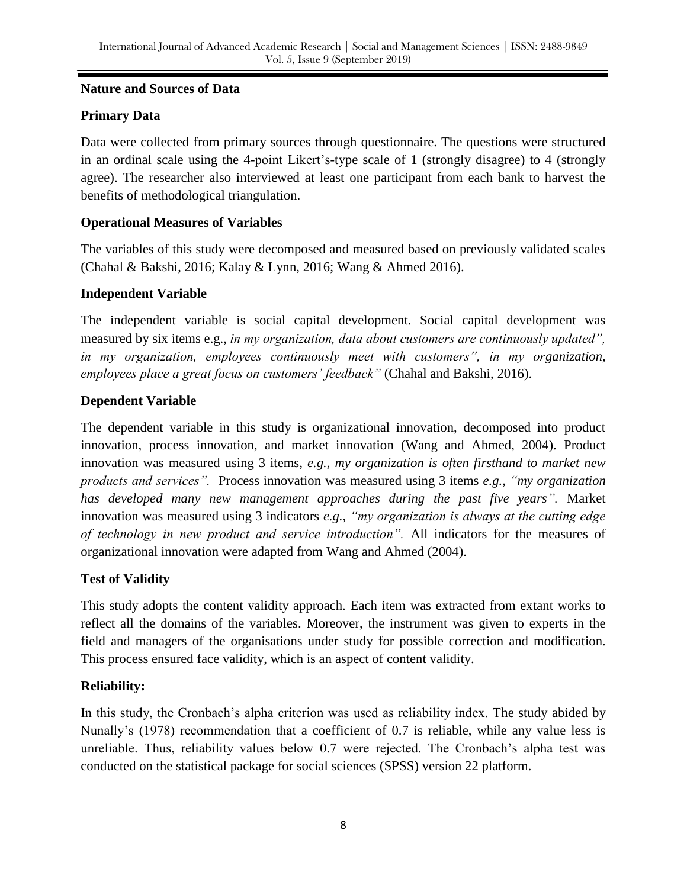### **Nature and Sources of Data**

## **Primary Data**

Data were collected from primary sources through questionnaire. The questions were structured in an ordinal scale using the 4-point Likert's-type scale of 1 (strongly disagree) to 4 (strongly agree). The researcher also interviewed at least one participant from each bank to harvest the benefits of methodological triangulation.

### **Operational Measures of Variables**

The variables of this study were decomposed and measured based on previously validated scales (Chahal & Bakshi, 2016; Kalay & Lynn, 2016; Wang & Ahmed 2016).

### **Independent Variable**

The independent variable is social capital development. Social capital development was measured by six items e.g., *in my organization, data about customers are continuously updated", in my organization, employees continuously meet with customers", in my organization, employees place a great focus on customers' feedback"* (Chahal and Bakshi, 2016).

### **Dependent Variable**

The dependent variable in this study is organizational innovation, decomposed into product innovation, process innovation, and market innovation (Wang and Ahmed, 2004). Product innovation was measured using 3 items, *e.g., my organization is often firsthand to market new products and services".* Process innovation was measured using 3 items *e.g., "my organization has developed many new management approaches during the past five years".* Market innovation was measured using 3 indicators *e.g., "my organization is always at the cutting edge of technology in new product and service introduction".* All indicators for the measures of organizational innovation were adapted from Wang and Ahmed (2004).

# **Test of Validity**

This study adopts the content validity approach. Each item was extracted from extant works to reflect all the domains of the variables. Moreover, the instrument was given to experts in the field and managers of the organisations under study for possible correction and modification. This process ensured face validity, which is an aspect of content validity.

### **Reliability:**

In this study, the Cronbach's alpha criterion was used as reliability index. The study abided by Nunally's (1978) recommendation that a coefficient of 0.7 is reliable, while any value less is unreliable. Thus, reliability values below 0.7 were rejected. The Cronbach's alpha test was conducted on the statistical package for social sciences (SPSS) version 22 platform.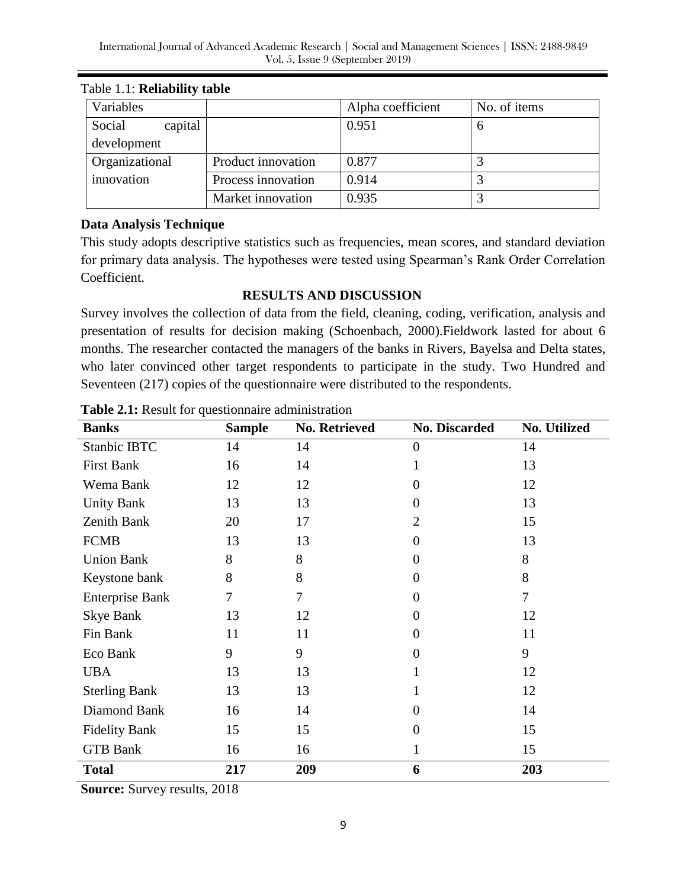| Variables         |                    | Alpha coefficient | No. of items |
|-------------------|--------------------|-------------------|--------------|
| Social<br>capital |                    | 0.951             | n            |
| development       |                    |                   |              |
| Organizational    | Product innovation | 0.877             |              |
| innovation        | Process innovation | 0.914             |              |
|                   | Market innovation  | 0.935             |              |

Table 1.1: **Reliability table** 

### **Data Analysis Technique**

This study adopts descriptive statistics such as frequencies, mean scores, and standard deviation for primary data analysis. The hypotheses were tested using Spearman's Rank Order Correlation Coefficient.

### **RESULTS AND DISCUSSION**

Survey involves the collection of data from the field, cleaning, coding, verification, analysis and presentation of results for decision making (Schoenbach, 2000).Fieldwork lasted for about 6 months. The researcher contacted the managers of the banks in Rivers, Bayelsa and Delta states, who later convinced other target respondents to participate in the study. Two Hundred and Seventeen (217) copies of the questionnaire were distributed to the respondents.

| <b>Banks</b>           | <b>Sample</b> | <b>No. Retrieved</b> | <b>No. Discarded</b> | <b>No. Utilized</b> |
|------------------------|---------------|----------------------|----------------------|---------------------|
| Stanbic IBTC           | 14            | 14                   | 0                    | 14                  |
| <b>First Bank</b>      | 16            | 14                   |                      | 13                  |
| Wema Bank              | 12            | 12                   | 0                    | 12                  |
| <b>Unity Bank</b>      | 13            | 13                   | 0                    | 13                  |
| Zenith Bank            | 20            | 17                   | $\overline{2}$       | 15                  |
| <b>FCMB</b>            | 13            | 13                   | $\overline{0}$       | 13                  |
| <b>Union Bank</b>      | 8             | 8                    | $\overline{0}$       | 8                   |
| Keystone bank          | 8             | 8                    | $\overline{0}$       | 8                   |
| <b>Enterprise Bank</b> | 7             | 7                    | $\overline{0}$       | $\tau$              |
| <b>Skye Bank</b>       | 13            | 12                   | $\overline{0}$       | 12                  |
| Fin Bank               | 11            | 11                   | $\Omega$             | 11                  |
| Eco Bank               | 9             | 9                    | $\theta$             | 9                   |
| <b>UBA</b>             | 13            | 13                   |                      | 12                  |
| <b>Sterling Bank</b>   | 13            | 13                   |                      | 12                  |
| Diamond Bank           | 16            | 14                   | $\Omega$             | 14                  |
| <b>Fidelity Bank</b>   | 15            | 15                   | $\overline{0}$       | 15                  |
| <b>GTB Bank</b>        | 16            | 16                   | 1                    | 15                  |
| <b>Total</b>           | 217           | 209                  | 6                    | 203                 |

**Table 2.1:** Result for questionnaire administration

**Source:** Survey results, 2018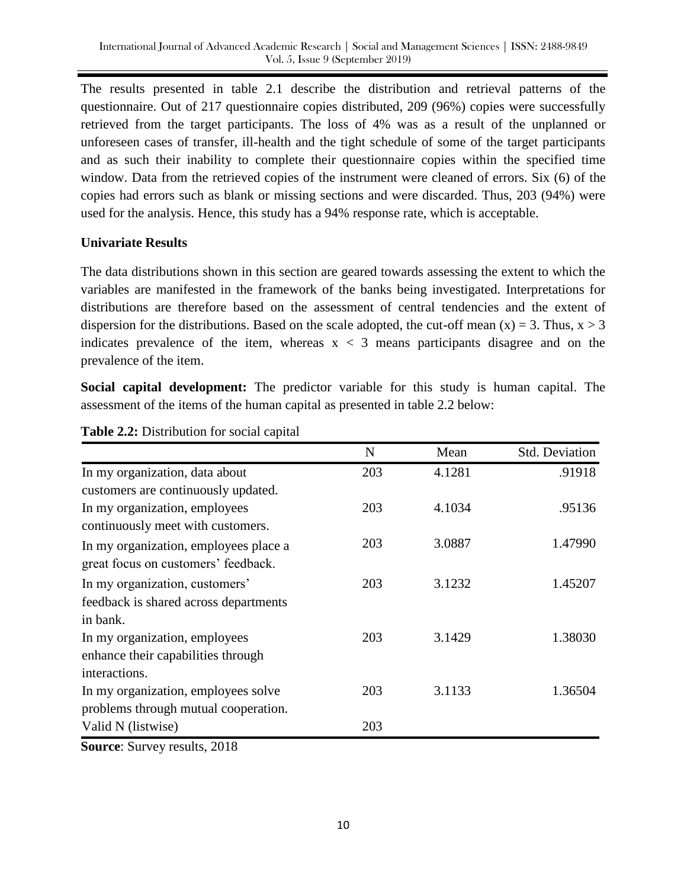The results presented in table 2.1 describe the distribution and retrieval patterns of the questionnaire. Out of 217 questionnaire copies distributed, 209 (96%) copies were successfully retrieved from the target participants. The loss of 4% was as a result of the unplanned or unforeseen cases of transfer, ill-health and the tight schedule of some of the target participants and as such their inability to complete their questionnaire copies within the specified time window. Data from the retrieved copies of the instrument were cleaned of errors. Six (6) of the copies had errors such as blank or missing sections and were discarded. Thus, 203 (94%) were used for the analysis. Hence, this study has a 94% response rate, which is acceptable.

### **Univariate Results**

The data distributions shown in this section are geared towards assessing the extent to which the variables are manifested in the framework of the banks being investigated. Interpretations for distributions are therefore based on the assessment of central tendencies and the extent of dispersion for the distributions. Based on the scale adopted, the cut-off mean  $(x) = 3$ . Thus,  $x > 3$ indicates prevalence of the item, whereas  $x < 3$  means participants disagree and on the prevalence of the item.

**Social capital development:** The predictor variable for this study is human capital. The assessment of the items of the human capital as presented in table 2.2 below:

|                                       | N   | Mean   | <b>Std. Deviation</b> |
|---------------------------------------|-----|--------|-----------------------|
| In my organization, data about        | 203 | 4.1281 | .91918                |
| customers are continuously updated.   |     |        |                       |
| In my organization, employees         | 203 | 4.1034 | .95136                |
| continuously meet with customers.     |     |        |                       |
| In my organization, employees place a | 203 | 3.0887 | 1.47990               |
| great focus on customers' feedback.   |     |        |                       |
| In my organization, customers'        | 203 | 3.1232 | 1.45207               |
| feedback is shared across departments |     |        |                       |
| in bank.                              |     |        |                       |
| In my organization, employees         | 203 | 3.1429 | 1.38030               |
| enhance their capabilities through    |     |        |                       |
| interactions.                         |     |        |                       |
| In my organization, employees solve   | 203 | 3.1133 | 1.36504               |
| problems through mutual cooperation.  |     |        |                       |
| Valid N (listwise)                    | 203 |        |                       |

**Table 2.2:** Distribution for social capital

**Source**: Survey results, 2018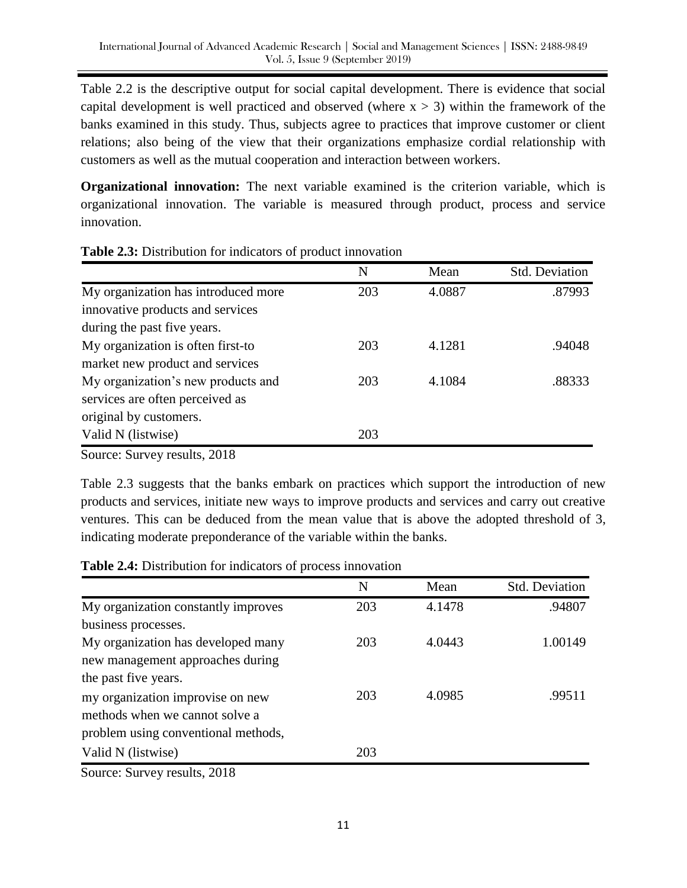Table 2.2 is the descriptive output for social capital development. There is evidence that social capital development is well practiced and observed (where  $x > 3$ ) within the framework of the banks examined in this study. Thus, subjects agree to practices that improve customer or client relations; also being of the view that their organizations emphasize cordial relationship with customers as well as the mutual cooperation and interaction between workers.

**Organizational innovation:** The next variable examined is the criterion variable, which is organizational innovation. The variable is measured through product, process and service innovation.

|                                     | N   | Mean   | Std. Deviation |
|-------------------------------------|-----|--------|----------------|
| My organization has introduced more | 203 | 4.0887 | .87993         |
| innovative products and services    |     |        |                |
| during the past five years.         |     |        |                |
| My organization is often first-to   | 203 | 4.1281 | .94048         |
| market new product and services     |     |        |                |
| My organization's new products and  | 203 | 4.1084 | .88333         |
| services are often perceived as     |     |        |                |
| original by customers.              |     |        |                |
| Valid N (listwise)                  | 203 |        |                |
|                                     |     |        |                |

#### **Table 2.3:** Distribution for indicators of product innovation

Source: Survey results, 2018

Table 2.3 suggests that the banks embark on practices which support the introduction of new products and services, initiate new ways to improve products and services and carry out creative ventures. This can be deduced from the mean value that is above the adopted threshold of 3, indicating moderate preponderance of the variable within the banks.

| <b>Table 2.4:</b> Distribution for indicators of process innovation |  |  |  |
|---------------------------------------------------------------------|--|--|--|
|                                                                     |  |  |  |

|                                     | N   | Mean   | <b>Std. Deviation</b> |
|-------------------------------------|-----|--------|-----------------------|
| My organization constantly improves | 203 | 4.1478 | .94807                |
| business processes.                 |     |        |                       |
| My organization has developed many  | 203 | 4.0443 | 1.00149               |
| new management approaches during    |     |        |                       |
| the past five years.                |     |        |                       |
| my organization improvise on new    | 203 | 4.0985 | .99511                |
| methods when we cannot solve a      |     |        |                       |
| problem using conventional methods, |     |        |                       |
| Valid N (listwise)                  | 203 |        |                       |
| Source: Survey results 2018         |     |        |                       |

Source: Survey results, 2018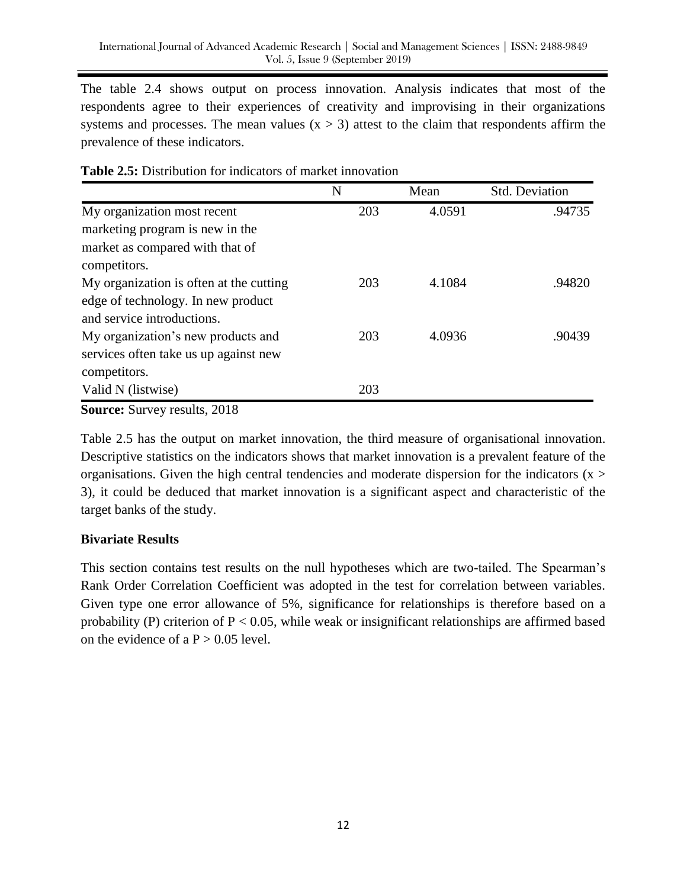The table 2.4 shows output on process innovation. Analysis indicates that most of the respondents agree to their experiences of creativity and improvising in their organizations systems and processes. The mean values  $(x > 3)$  attest to the claim that respondents affirm the prevalence of these indicators.

|                                         | N   | Mean   | Std. Deviation |
|-----------------------------------------|-----|--------|----------------|
| My organization most recent             | 203 | 4.0591 | .94735         |
| marketing program is new in the         |     |        |                |
| market as compared with that of         |     |        |                |
| competitors.                            |     |        |                |
| My organization is often at the cutting | 203 | 4.1084 | .94820         |
| edge of technology. In new product      |     |        |                |
| and service introductions.              |     |        |                |
| My organization's new products and      | 203 | 4.0936 | .90439         |
| services often take us up against new   |     |        |                |
| competitors.                            |     |        |                |
| Valid N (listwise)                      | 203 |        |                |

**Source:** Survey results, 2018

Table 2.5 has the output on market innovation, the third measure of organisational innovation. Descriptive statistics on the indicators shows that market innovation is a prevalent feature of the organisations. Given the high central tendencies and moderate dispersion for the indicators  $(x >$ 3), it could be deduced that market innovation is a significant aspect and characteristic of the target banks of the study.

# **Bivariate Results**

This section contains test results on the null hypotheses which are two-tailed. The Spearman's Rank Order Correlation Coefficient was adopted in the test for correlation between variables. Given type one error allowance of 5%, significance for relationships is therefore based on a probability (P) criterion of  $P < 0.05$ , while weak or insignificant relationships are affirmed based on the evidence of a  $P > 0.05$  level.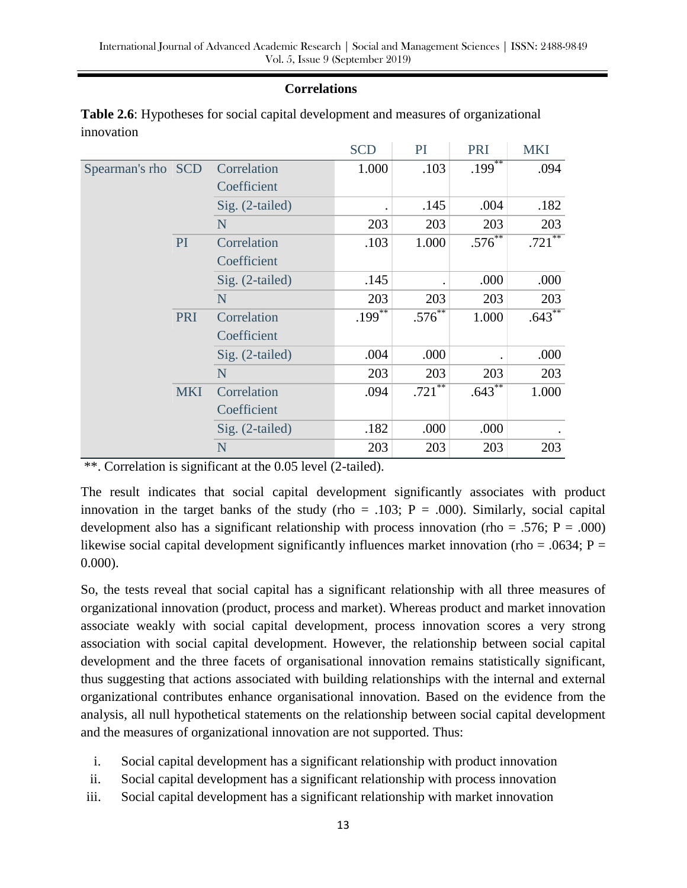### **Correlations**

|                    |                 |                   | <b>SCD</b>           | PI          | PRI                  | <b>MKI</b>  |
|--------------------|-----------------|-------------------|----------------------|-------------|----------------------|-------------|
| Spearman's rho SCD |                 | Correlation       | 1.000                | .103        | $.199$ <sup>**</sup> | .094        |
|                    |                 | Coefficient       |                      |             |                      |             |
|                    |                 | Sig. (2-tailed)   |                      | .145        | .004                 | .182        |
|                    |                 | N                 | 203                  | 203         | 203                  | 203         |
|                    | PI <sup>1</sup> | Correlation       | .103                 | 1.000       | $.576^{**}$          | $.721***$   |
|                    |                 | Coefficient       |                      |             |                      |             |
|                    |                 | Sig. (2-tailed)   | .145                 |             | .000                 | .000        |
|                    |                 | N                 | 203                  | 203         | 203                  | 203         |
|                    | PRI             | Correlation       | $.199$ <sup>**</sup> | $.576^{**}$ | 1.000                | $.643^{**}$ |
|                    |                 | Coefficient       |                      |             |                      |             |
|                    |                 | $Sig. (2-tailed)$ | .004                 | .000        |                      | .000        |
|                    |                 | N                 | 203                  | 203         | 203                  | 203         |
|                    | <b>MKI</b>      | Correlation       | .094                 | $.721***$   | $.643^{\ast\ast}$    | 1.000       |
|                    |                 | Coefficient       |                      |             |                      |             |
|                    |                 | Sig. (2-tailed)   | .182                 | .000        | .000                 |             |
|                    |                 | N                 | 203                  | 203         | 203                  | 203         |

**Table 2.6**: Hypotheses for social capital development and measures of organizational innovation

\*\*. Correlation is significant at the 0.05 level (2-tailed).

The result indicates that social capital development significantly associates with product innovation in the target banks of the study (rho = .103;  $P = .000$ ). Similarly, social capital development also has a significant relationship with process innovation (rho = .576;  $P = .000$ ) likewise social capital development significantly influences market innovation (rho = .0634;  $P =$ 0.000).

So, the tests reveal that social capital has a significant relationship with all three measures of organizational innovation (product, process and market). Whereas product and market innovation associate weakly with social capital development, process innovation scores a very strong association with social capital development. However, the relationship between social capital development and the three facets of organisational innovation remains statistically significant, thus suggesting that actions associated with building relationships with the internal and external organizational contributes enhance organisational innovation. Based on the evidence from the analysis, all null hypothetical statements on the relationship between social capital development and the measures of organizational innovation are not supported. Thus:

- i. Social capital development has a significant relationship with product innovation
- ii. Social capital development has a significant relationship with process innovation
- iii. Social capital development has a significant relationship with market innovation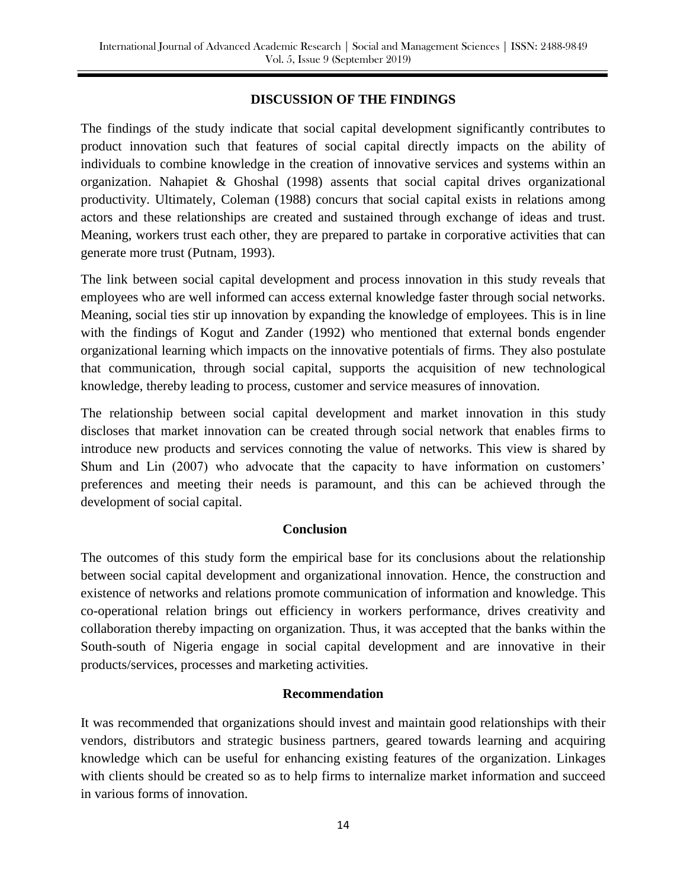### **DISCUSSION OF THE FINDINGS**

The findings of the study indicate that social capital development significantly contributes to product innovation such that features of social capital directly impacts on the ability of individuals to combine knowledge in the creation of innovative services and systems within an organization. Nahapiet & Ghoshal (1998) assents that social capital drives organizational productivity. Ultimately, Coleman (1988) concurs that social capital exists in relations among actors and these relationships are created and sustained through exchange of ideas and trust. Meaning, workers trust each other, they are prepared to partake in corporative activities that can generate more trust (Putnam, 1993).

The link between social capital development and process innovation in this study reveals that employees who are well informed can access external knowledge faster through social networks. Meaning, social ties stir up innovation by expanding the knowledge of employees. This is in line with the findings of Kogut and Zander (1992) who mentioned that external bonds engender organizational learning which impacts on the innovative potentials of firms. They also postulate that communication, through social capital, supports the acquisition of new technological knowledge, thereby leading to process, customer and service measures of innovation.

The relationship between social capital development and market innovation in this study discloses that market innovation can be created through social network that enables firms to introduce new products and services connoting the value of networks. This view is shared by Shum and Lin (2007) who advocate that the capacity to have information on customers' preferences and meeting their needs is paramount, and this can be achieved through the development of social capital.

#### **Conclusion**

The outcomes of this study form the empirical base for its conclusions about the relationship between social capital development and organizational innovation. Hence, the construction and existence of networks and relations promote communication of information and knowledge. This co-operational relation brings out efficiency in workers performance, drives creativity and collaboration thereby impacting on organization. Thus, it was accepted that the banks within the South-south of Nigeria engage in social capital development and are innovative in their products/services, processes and marketing activities.

#### **Recommendation**

It was recommended that organizations should invest and maintain good relationships with their vendors, distributors and strategic business partners, geared towards learning and acquiring knowledge which can be useful for enhancing existing features of the organization. Linkages with clients should be created so as to help firms to internalize market information and succeed in various forms of innovation.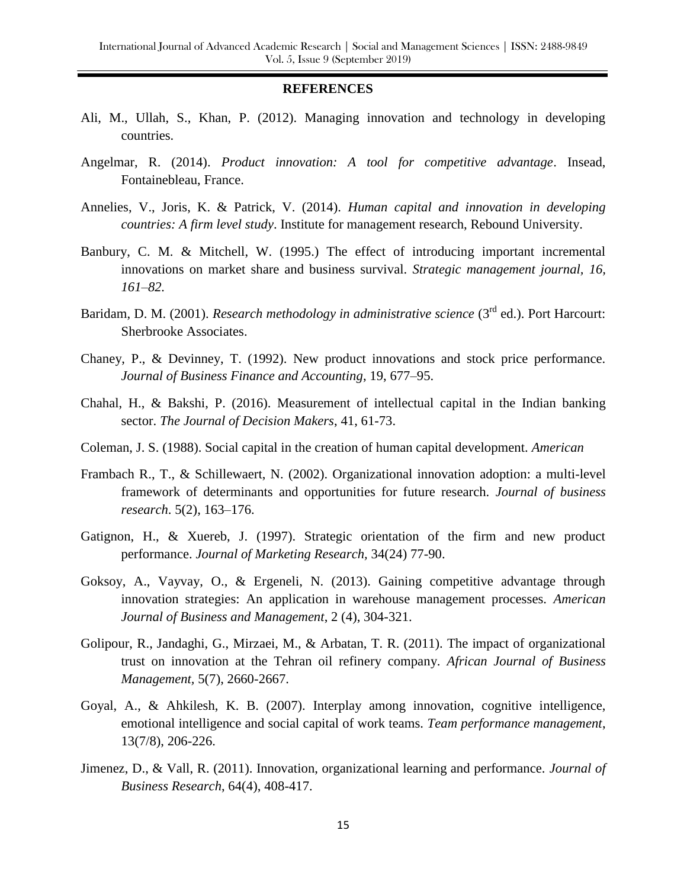#### **REFERENCES**

- Ali, M., Ullah, S., Khan, P. (2012). Managing innovation and technology in developing countries.
- Angelmar, R. (2014). *Product innovation: A tool for competitive advantage*. Insead, Fontainebleau, France.
- Annelies, V., Joris, K. & Patrick, V. (2014). *Human capital and innovation in developing countries: A firm level study*. Institute for management research, Rebound University.
- Banbury, C. M. & Mitchell, W. (1995.) The effect of introducing important incremental innovations on market share and business survival. *Strategic management journal, 16, 161–82.*
- Baridam, D. M. (2001). *Research methodology in administrative science* (3<sup>rd</sup> ed.). Port Harcourt: Sherbrooke Associates.
- Chaney, P., & Devinney, T. (1992). New product innovations and stock price performance. *Journal of Business Finance and Accounting*, 19, 677–95.
- Chahal, H., & Bakshi, P. (2016). Measurement of intellectual capital in the Indian banking sector. *The Journal of Decision Makers*, 41, 61-73.
- Coleman, J. S. (1988). Social capital in the creation of human capital development. *American*
- Frambach R., T., & Schillewaert, N. (2002). Organizational innovation adoption: a multi-level framework of determinants and opportunities for future research. *Journal of business research*. 5(2), 163–176.
- Gatignon, H., & Xuereb, J. (1997). Strategic orientation of the firm and new product performance. *Journal of Marketing Research,* 34(24) 77-90.
- Goksoy, A., Vayvay, O., & Ergeneli, N. (2013). Gaining competitive advantage through innovation strategies: An application in warehouse management processes. *American Journal of Business and Management*, 2 (4), 304-321.
- Golipour, R., Jandaghi, G., Mirzaei, M., & Arbatan, T. R. (2011). The impact of organizational trust on innovation at the Tehran oil refinery company. *African Journal of Business Management,* 5(7), 2660-2667.
- Goyal, A., & Ahkilesh, K. B. (2007). Interplay among innovation, cognitive intelligence, emotional intelligence and social capital of work teams. *Team performance management*, 13(7/8), 206-226.
- Jimenez, D., & Vall, R. (2011). Innovation, organizational learning and performance. *Journal of Business Research*, 64(4), 408-417.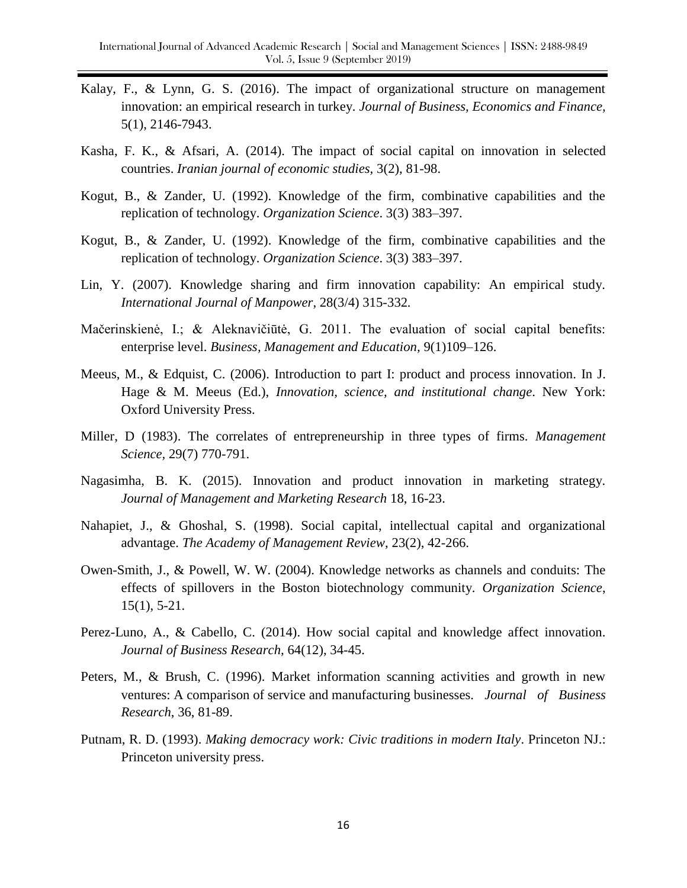- Kalay, F., & Lynn, G. S. (2016). The impact of organizational structure on management innovation: an empirical research in turkey*. Journal of Business, Economics and Finance,*  5(1), 2146-7943.
- Kasha, F. K., & Afsari, A. (2014). The impact of social capital on innovation in selected countries. *Iranian journal of economic studies,* 3(2), 81-98.
- Kogut, B., & Zander, U. (1992). Knowledge of the firm, combinative capabilities and the replication of technology. *Organization Science*. 3(3) 383–397.
- Kogut, B., & Zander, U. (1992). Knowledge of the firm, combinative capabilities and the replication of technology. *Organization Science*. 3(3) 383–397.
- Lin, Y. (2007). Knowledge sharing and firm innovation capability: An empirical study. *International Journal of Manpower,* 28(3/4) 315-332*.*
- Mačerinskienė, I.; & Aleknavičiūtė, G. 2011. The evaluation of social capital benefits: enterprise level. *Business, Management and Education,* 9(1)109–126.
- Meeus, M., & Edquist, C. (2006). Introduction to part I: product and process innovation. In J. Hage & M. Meeus (Ed.), *Innovation, science, and institutional change*. New York: Oxford University Press.
- Miller, D (1983). The correlates of entrepreneurship in three types of firms. *Management Science,* 29(7) 770-791.
- Nagasimha, B. K. (2015). Innovation and product innovation in marketing strategy. *Journal of Management and Marketing Research* 18, 16-23.
- Nahapiet, J., & Ghoshal, S. (1998). Social capital, intellectual capital and organizational advantage. *The Academy of Management Review*, 23(2), 42-266.
- Owen-Smith, J., & Powell, W. W. (2004). Knowledge networks as channels and conduits: The effects of spillovers in the Boston biotechnology community. *Organization Science*, 15(1), 5-21.
- Perez-Luno, A., & Cabello, C. (2014). How social capital and knowledge affect innovation. *Journal of Business Research,* 64(12), 34-45.
- Peters, M., & Brush, C. (1996). Market information scanning activities and growth in new ventures: A comparison of service and manufacturing businesses. *Journal of Business Research*, 36, 81-89.
- Putnam, R. D. (1993). *Making democracy work: Civic traditions in modern Italy*. Princeton NJ.: Princeton university press.